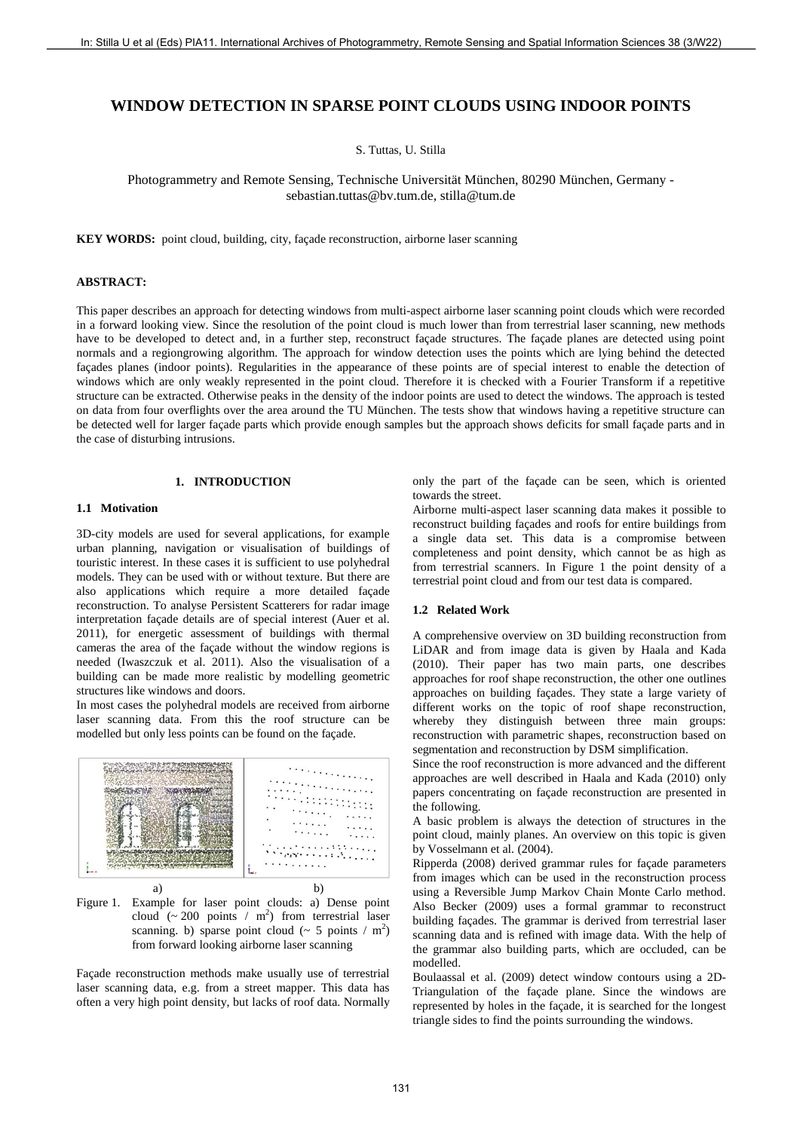# **WINDOW DETECTION IN SPARSE POINT CLOUDS USING INDOOR POINTS**

S. Tuttas, U. Stilla

Photogrammetry and Remote Sensing, Technische Universität München, 80290 München, Germany [sebastian.tuttas@bv.tum.de,](mailto:sebastian.tuttas@bv.tum.de) stilla@tum.de

**KEY WORDS:** point cloud, building, city, façade reconstruction, airborne laser scanning

#### **ABSTRACT:**

This paper describes an approach for detecting windows from multi-aspect airborne laser scanning point clouds which were recorded in a forward looking view. Since the resolution of the point cloud is much lower than from terrestrial laser scanning, new methods have to be developed to detect and, in a further step, reconstruct façade structures. The façade planes are detected using point normals and a regiongrowing algorithm. The approach for window detection uses the points which are lying behind the detected façades planes (indoor points). Regularities in the appearance of these points are of special interest to enable the detection of windows which are only weakly represented in the point cloud. Therefore it is checked with a Fourier Transform if a repetitive structure can be extracted. Otherwise peaks in the density of the indoor points are used to detect the windows. The approach is tested on data from four overflights over the area around the TU München. The tests show that windows having a repetitive structure can be detected well for larger façade parts which provide enough samples but the approach shows deficits for small façade parts and in the case of disturbing intrusions. 13 INITIAL CONTROL TOWNS IN A STATISTICAL CONTROL CONTROL CONTROL CONTROL CONTROL CONTROL CONTROL CONTROL CONTROL CONTROL CONTROL CONTROL CONTROL CONTROL CONTROL CONTROL CONTROL CONTROL CONTROL CONTROL CONTROL CONTROL CON

## **1. INTRODUCTION**

## **1.1 Motivation**

3D-city models are used for several applications, for example urban planning, navigation or visualisation of buildings of touristic interest. In these cases it is sufficient to use polyhedral models. They can be used with or without texture. But there are also applications which require a more detailed façade reconstruction. To analyse Persistent Scatterers for radar image interpretation façade details are of special interest (Auer et al. 2011), for energetic assessment of buildings with thermal cameras the area of the façade without the window regions is needed (Iwaszczuk et al. 2011). Also the visualisation of a building can be made more realistic by modelling geometric structures like windows and doors.

In most cases the polyhedral models are received from airborne laser scanning data. From this the roof structure can be modelled but only less points can be found on the façade.



Figure 1. Example for laser point clouds: a) Dense point cloud  $({\sim} 200$  points / m<sup>2</sup>) from terrestrial laser scanning. b) sparse point cloud ( $\sim$  5 points / m<sup>2</sup>) from forward looking airborne laser scanning

Façade reconstruction methods make usually use of terrestrial laser scanning data, e.g. from a street mapper. This data has often a very high point density, but lacks of roof data. Normally only the part of the façade can be seen, which is oriented towards the street.

Airborne multi-aspect laser scanning data makes it possible to reconstruct building façades and roofs for entire buildings from a single data set. This data is a compromise between completeness and point density, which cannot be as high as from terrestrial scanners. In Figure 1 the point density of a terrestrial point cloud and from our test data is compared.

## **1.2 Related Work**

A comprehensive overview on 3D building reconstruction from LiDAR and from image data is given by Haala and Kada (2010). Their paper has two main parts, one describes approaches for roof shape reconstruction, the other one outlines approaches on building façades. They state a large variety of different works on the topic of roof shape reconstruction, whereby they distinguish between three main groups: reconstruction with parametric shapes, reconstruction based on segmentation and reconstruction by DSM simplification.

Since the roof reconstruction is more advanced and the different approaches are well described in Haala and Kada (2010) only papers concentrating on façade reconstruction are presented in the following.

A basic problem is always the detection of structures in the point cloud, mainly planes. An overview on this topic is given by Vosselmann et al. (2004).

Ripperda (2008) derived grammar rules for façade parameters from images which can be used in the reconstruction process using a Reversible Jump Markov Chain Monte Carlo method. Also Becker (2009) uses a formal grammar to reconstruct building façades. The grammar is derived from terrestrial laser scanning data and is refined with image data. With the help of the grammar also building parts, which are occluded, can be modelled.

Boulaassal et al. (2009) detect window contours using a 2D-Triangulation of the façade plane. Since the windows are represented by holes in the façade, it is searched for the longest triangle sides to find the points surrounding the windows.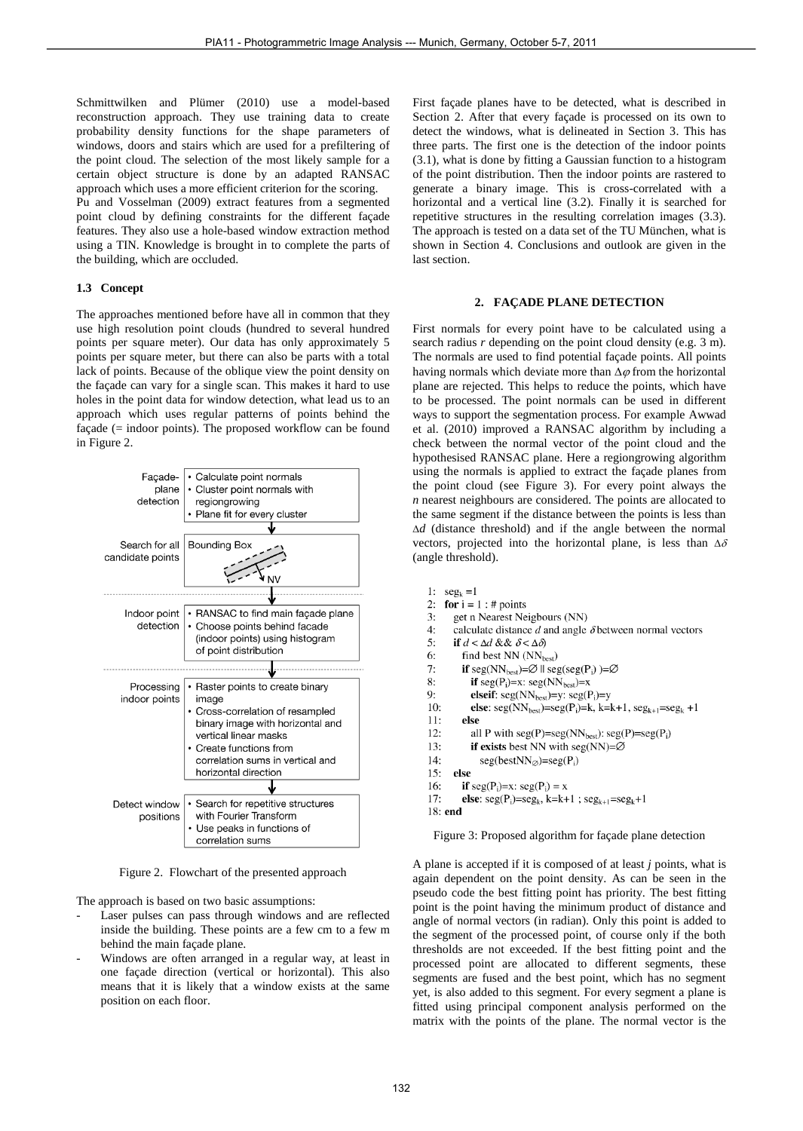Schmittwilken and Plümer (2010) use a model-based reconstruction approach. They use training data to create probability density functions for the shape parameters of windows, doors and stairs which are used for a prefiltering of the point cloud. The selection of the most likely sample for a certain object structure is done by an adapted RANSAC approach which uses a more efficient criterion for the scoring.

Pu and Vosselman (2009) extract features from a segmented point cloud by defining constraints for the different façade features. They also use a hole-based window extraction method using a TIN. Knowledge is brought in to complete the parts of the building, which are occluded.

## **1.3 Concept**

The approaches mentioned before have all in common that they use high resolution point clouds (hundred to several hundred points per square meter). Our data has only approximately 5 points per square meter, but there can also be parts with a total lack of points. Because of the oblique view the point density on the façade can vary for a single scan. This makes it hard to use holes in the point data for window detection, what lead us to an approach which uses regular patterns of points behind the façade (= indoor points). The proposed workflow can be found in Figure 2.



Figure 2. Flowchart of the presented approach

The approach is based on two basic assumptions:

- Laser pulses can pass through windows and are reflected inside the building. These points are a few cm to a few m behind the main façade plane.
- Windows are often arranged in a regular way, at least in one façade direction (vertical or horizontal). This also means that it is likely that a window exists at the same position on each floor.

First façade planes have to be detected, what is described in Section 2. After that every façade is processed on its own to detect the windows, what is delineated in Section 3. This has three parts. The first one is the detection of the indoor points (3.1), what is done by fitting a Gaussian function to a histogram of the point distribution. Then the indoor points are rastered to generate a binary image. This is cross-correlated with a horizontal and a vertical line (3.2). Finally it is searched for repetitive structures in the resulting correlation images (3.3). The approach is tested on a data set of the TU München, what is shown in Section 4. Conclusions and outlook are given in the last section.

### **2. FAÇADE PLANE DETECTION**

First normals for every point have to be calculated using a search radius *r* depending on the point cloud density (e.g. 3 m). The normals are used to find potential façade points. All points having normals which deviate more than  $\Delta \varphi$  from the horizontal plane are rejected. This helps to reduce the points, which have to be processed. The point normals can be used in different ways to support the segmentation process. For example Awwad et al. (2010) improved a RANSAC algorithm by including a check between the normal vector of the point cloud and the hypothesised RANSAC plane. Here a regiongrowing algorithm using the normals is applied to extract the façade planes from the point cloud (see Figure 3). For every point always the *n* nearest neighbours are considered. The points are allocated to the same segment if the distance between the points is less than *d* (distance threshold) and if the angle between the normal vectors, projected into the horizontal plane, is less than  $\Delta \delta$ (angle threshold).

- 
- 
- 
- 
- 
- 
- 
- 
- 
- 
- 
- 
- 
- 
- 
- 
- 

Figure 3: Proposed algorithm for façade plane detection

A plane is accepted if it is composed of at least *j* points, what is again dependent on the point density. As can be seen in the pseudo code the best fitting point has priority. The best fitting point is the point having the minimum product of distance and angle of normal vectors (in radian). Only this point is added to the segment of the processed point, of course only if the both thresholds are not exceeded. If the best fitting point and the processed point are allocated to different segments, these segments are fused and the best point, which has no segment yet, is also added to this segment. For every segment a plane is fitted using principal component analysis performed on the matrix with the points of the plane. The normal vector is the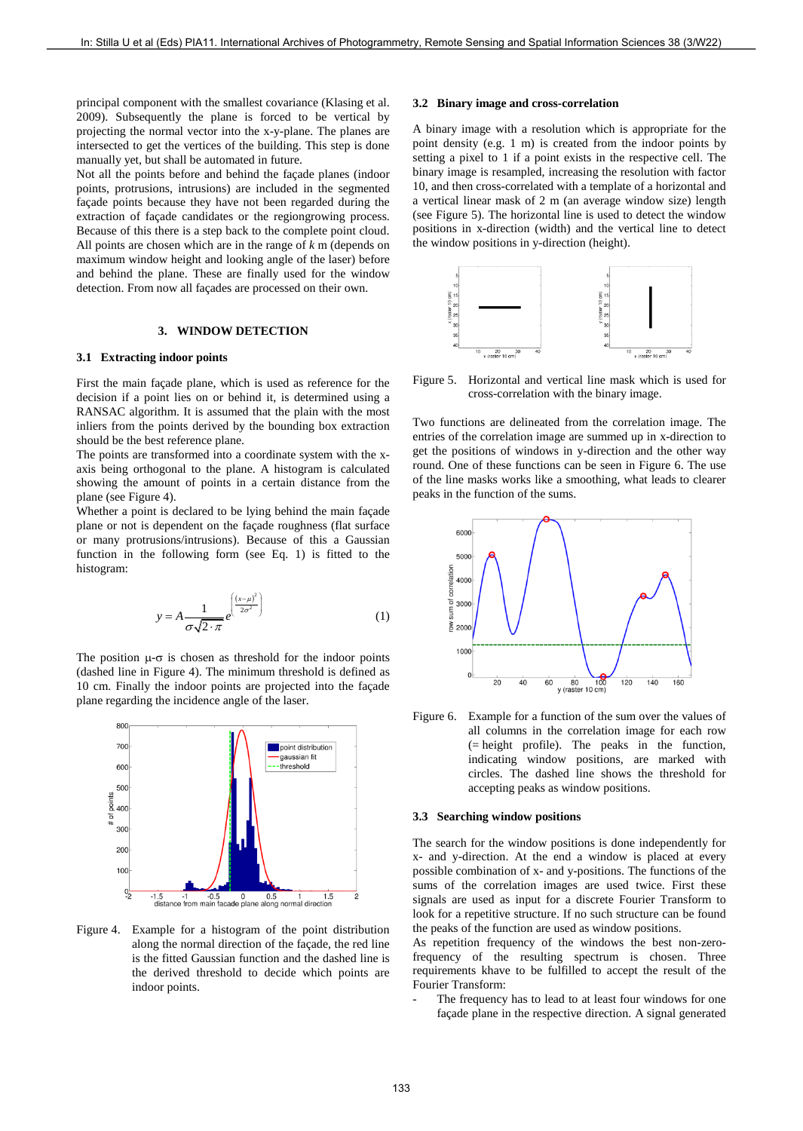principal component with the smallest covariance (Klasing et al. 2009). Subsequently the plane is forced to be vertical by projecting the normal vector into the x-y-plane. The planes are intersected to get the vertices of the building. This step is done manually yet, but shall be automated in future.

Not all the points before and behind the façade planes (indoor points, protrusions, intrusions) are included in the segmented façade points because they have not been regarded during the extraction of façade candidates or the regiongrowing process. Because of this there is a step back to the complete point cloud. All points are chosen which are in the range of *k* m (depends on maximum window height and looking angle of the laser) before and behind the plane. These are finally used for the window detection. From now all façades are processed on their own.

## **3. WINDOW DETECTION**

## **3.1 Extracting indoor points**

First the main façade plane, which is used as reference for the decision if a point lies on or behind it, is determined using a RANSAC algorithm. It is assumed that the plain with the most inliers from the points derived by the bounding box extraction should be the best reference plane.

The points are transformed into a coordinate system with the xaxis being orthogonal to the plane. A histogram is calculated showing the amount of points in a certain distance from the plane (see Figure 4).

Whether a point is declared to be lying behind the main façade plane or not is dependent on the façade roughness (flat surface or many protrusions/intrusions). Because of this a Gaussian function in the following form (see Eq. 1) is fitted to the histogram:

$$
y = A \frac{1}{\sigma \sqrt{2 \cdot \pi}} e^{\left(\frac{(x-\mu)^2}{2\sigma^2}\right)}
$$
(1)

The position  $\mu$ - $\sigma$  is chosen as threshold for the indoor points (dashed line in Figure 4). The minimum threshold is defined as 10 cm. Finally the indoor points are projected into the façade plane regarding the incidence angle of the laser.



Figure 4. Example for a histogram of the point distribution along the normal direction of the façade, the red line is the fitted Gaussian function and the dashed line is the derived threshold to decide which points are indoor points.

## **3.2 Binary image and cross-correlation**

A binary image with a resolution which is appropriate for the point density (e.g. 1 m) is created from the indoor points by setting a pixel to 1 if a point exists in the respective cell. The binary image is resampled, increasing the resolution with factor 10, and then cross-correlated with a template of a horizontal and a vertical linear mask of 2 m (an average window size) length (see Figure 5). The horizontal line is used to detect the window positions in x-direction (width) and the vertical line to detect the window positions in y-direction (height).



Figure 5. Horizontal and vertical line mask which is used for cross-correlation with the binary image.

Two functions are delineated from the correlation image. The entries of the correlation image are summed up in x-direction to get the positions of windows in y-direction and the other way round. One of these functions can be seen in Figure 6. The use of the line masks works like a smoothing, what leads to clearer peaks in the function of the sums.



Figure 6. Example for a function of the sum over the values of all columns in the correlation image for each row (= height profile). The peaks in the function, indicating window positions, are marked with circles. The dashed line shows the threshold for accepting peaks as window positions.

#### **3.3 Searching window positions**

The search for the window positions is done independently for x- and y-direction. At the end a window is placed at every possible combination of x- and y-positions. The functions of the sums of the correlation images are used twice. First these signals are used as input for a discrete Fourier Transform to look for a repetitive structure. If no such structure can be found the peaks of the function are used as window positions.

As repetition frequency of the windows the best non-zerofrequency of the resulting spectrum is chosen. Three requirements khave to be fulfilled to accept the result of the Fourier Transform:

The frequency has to lead to at least four windows for one façade plane in the respective direction. A signal generated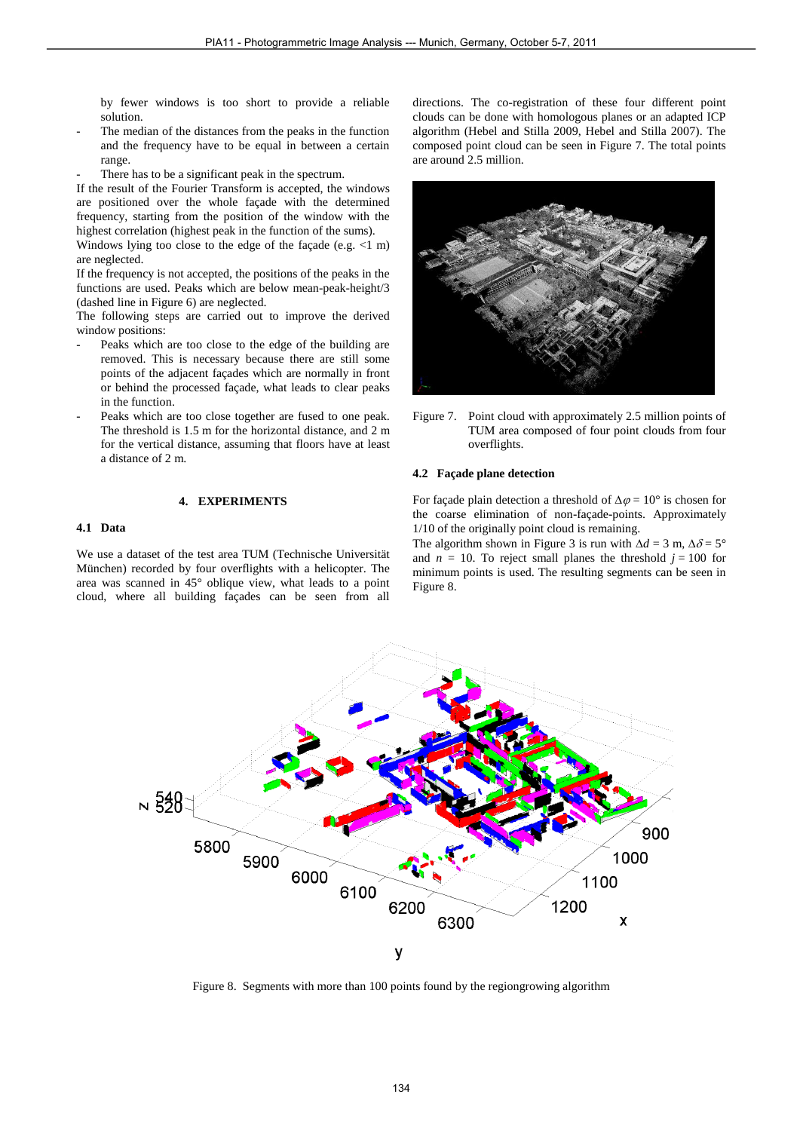by fewer windows is too short to provide a reliable solution.

- The median of the distances from the peaks in the function and the frequency have to be equal in between a certain range.
- There has to be a significant peak in the spectrum.

If the result of the Fourier Transform is accepted, the windows are positioned over the whole façade with the determined frequency, starting from the position of the window with the highest correlation (highest peak in the function of the sums).

Windows lying too close to the edge of the façade (e.g. <1 m) are neglected.

If the frequency is not accepted, the positions of the peaks in the functions are used. Peaks which are below mean-peak-height/3 (dashed line in Figure 6) are neglected.

The following steps are carried out to improve the derived window positions:

- Peaks which are too close to the edge of the building are removed. This is necessary because there are still some points of the adjacent façades which are normally in front or behind the processed façade, what leads to clear peaks in the function.
- Peaks which are too close together are fused to one peak. The threshold is 1.5 m for the horizontal distance, and 2 m for the vertical distance, assuming that floors have at least a distance of 2 m.

### **4. EXPERIMENTS**

## **4.1 Data**

We use a dataset of the test area TUM (Technische Universität München) recorded by four overflights with a helicopter. The area was scanned in 45° oblique view, what leads to a point cloud, where all building façades can be seen from all directions. The co-registration of these four different point clouds can be done with homologous planes or an adapted ICP algorithm (Hebel and Stilla 2009, Hebel and Stilla 2007). The composed point cloud can be seen in Figure 7. The total points are around 2.5 million.



Figure 7. Point cloud with approximately 2.5 million points of TUM area composed of four point clouds from four overflights.

#### **4.2 Façade plane detection**

For façade plain detection a threshold of  $\Delta \varphi = 10^{\circ}$  is chosen for the coarse elimination of non-façade-points. Approximately 1/10 of the originally point cloud is remaining.

The algorithm shown in Figure 3 is run with  $\Delta d = 3$  m,  $\Delta \delta = 5^{\circ}$ and  $n = 10$ . To reject small planes the threshold  $j = 100$  for minimum points is used. The resulting segments can be seen in Figure 8.



Figure 8. Segments with more than 100 points found by the regiongrowing algorithm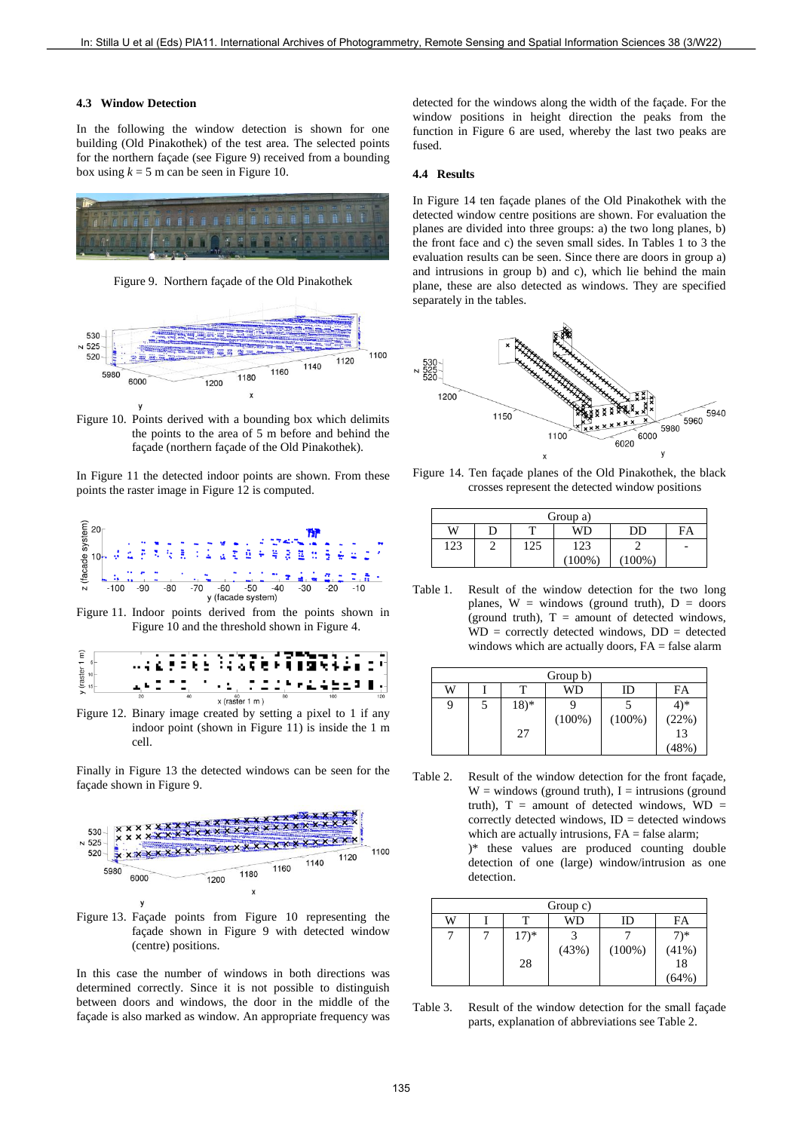## **4.3 Window Detection**

In the following the window detection is shown for one building (Old Pinakothek) of the test area. The selected points for the northern façade (see Figure 9) received from a bounding box using  $k = 5$  m can be seen in Figure 10.



Figure 9. Northern façade of the Old Pinakothek



Figure 10. Points derived with a bounding box which delimits the points to the area of 5 m before and behind the façade (northern façade of the Old Pinakothek).

In Figure 11 the detected indoor points are shown. From these points the raster image in Figure 12 is computed.



Figure 11. Indoor points derived from the points shown in Figure 10 and the threshold shown in Figure 4.



Figure 12. Binary image created by setting a pixel to 1 if any indoor point (shown in Figure 11) is inside the 1 m cell.

Finally in Figure 13 the detected windows can be seen for the façade shown in Figure 9.



Figure 13. Façade points from Figure 10 representing the façade shown in Figure 9 with detected window (centre) positions.

In this case the number of windows in both directions was determined correctly. Since it is not possible to distinguish between doors and windows, the door in the middle of the façade is also marked as window. An appropriate frequency was detected for the windows along the width of the façade. For the window positions in height direction the peaks from the function in Figure 6 are used, whereby the last two peaks are fused.

## **4.4 Results**

In Figure 14 ten façade planes of the Old Pinakothek with the detected window centre positions are shown. For evaluation the planes are divided into three groups: a) the two long planes, b) the front face and c) the seven small sides. In Tables 1 to 3 the evaluation results can be seen. Since there are doors in group a) and intrusions in group b) and c), which lie behind the main plane, these are also detected as windows. They are specified separately in the tables.



Figure 14. Ten façade planes of the Old Pinakothek, the black crosses represent the detected window positions

|     | Group a) |     |      |      |    |  |
|-----|----------|-----|------|------|----|--|
| W   | D        |     | WI 1 | נונו | FA |  |
| 123 |          | 125 | 123  |      | -  |  |
|     |          |     | 100% | 100% |    |  |

Table 1. Result of the window detection for the two long planes,  $W =$  windows (ground truth),  $D =$  doors (ground truth),  $T =$  amount of detected windows,  $WD = correctly detected windows, DD = detected$ windows which are actually doors,  $FA = false$  alarm

|   | Group b) |                |           |           |                               |  |
|---|----------|----------------|-----------|-----------|-------------------------------|--|
| W |          |                | WD        | ID        | FA                            |  |
| 9 |          | $(18)^*$<br>27 | $(100\%)$ | $(100\%)$ | $4)*$<br>$(22%)$<br>13<br>48% |  |

Table 2. Result of the window detection for the front façade,  $W =$  windows (ground truth), I = intrusions (ground truth),  $T =$  amount of detected windows,  $WD =$ correctly detected windows,  $ID = detected$  windows which are actually intrusions,  $FA = false$  alarm; )\* these values are produced counting double detection of one (large) window/intrusion as one detection.

|   | Group c) |        |       |           |                                             |  |
|---|----------|--------|-------|-----------|---------------------------------------------|--|
| W |          |        | WD    | ID        | FA                                          |  |
|   |          | $17)*$ |       |           | $7)*$                                       |  |
|   |          |        | (43%) | $(100\%)$ | $\begin{array}{c} (41\%) \\ 18 \end{array}$ |  |
|   |          | 28     |       |           |                                             |  |
|   |          |        |       |           | 64%)                                        |  |

Table 3. Result of the window detection for the small façade parts, explanation of abbreviations see Table 2.